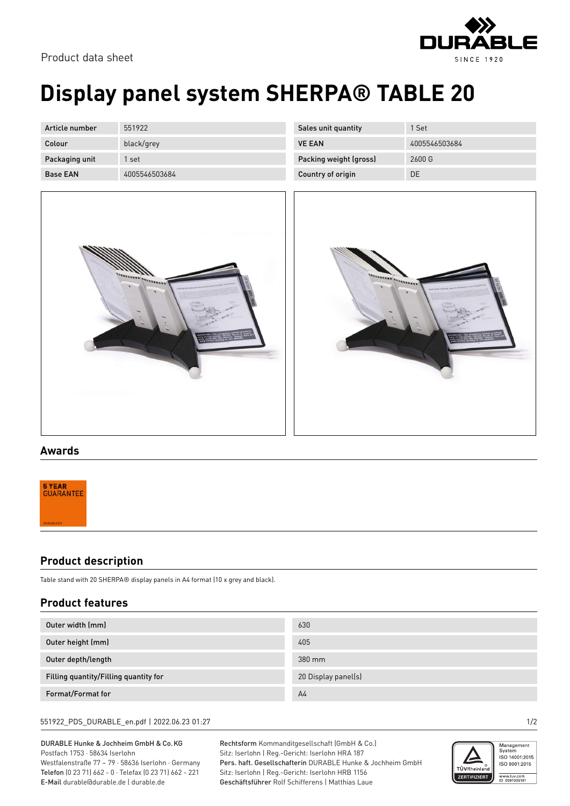



## **Display panel system SHERPA® TABLE 20**

| Article number  | 551922        |
|-----------------|---------------|
| Colour          | black/grey    |
| Packaging unit  | 1 set         |
| <b>Base FAN</b> | 4005546503684 |

| Sales unit quantity    | 1 Set         |
|------------------------|---------------|
| <b>VE FAN</b>          | 4005546503684 |
| Packing weight (gross) | 2600 G        |
| Country of origin      | DΕ            |





#### **Awards**



### **Product description**

Table stand with 20 SHERPA® display panels in A4 format (10 x grey and black).

### **Product features**

| Outer width (mm)                      | 630                 |
|---------------------------------------|---------------------|
| Outer height (mm)                     | 405                 |
| Outer depth/length                    | 380 mm              |
| Filling quantity/Filling quantity for | 20 Display panel(s) |
| Format/Format for                     | A <sub>4</sub>      |

#### 551922\_PDS\_DURABLE\_en.pdf | 2022.06.23 01:27 1/2

DURABLE Hunke & Jochheim GmbH & Co.KG Postfach 1753 · 58634 Iserlohn Westfalenstraße 77 – 79 · 58636 Iserlohn · Germany Telefon (0 23 71) 662 - 0 · Telefax (0 23 71) 662 - 221 E-Mail durable@durable.de | durable.de

Rechtsform Kommanditgesellschaft (GmbH & Co.) Sitz: Iserlohn | Reg.-Gericht: Iserlohn HRA 187 Pers. haft. Gesellschafterin DURABLE Hunke & Jochheim GmbH Sitz: Iserlohn | Reg.-Gericht: Iserlohn HRB 1156 Geschäftsführer Rolf Schifferens | Matthias Laue